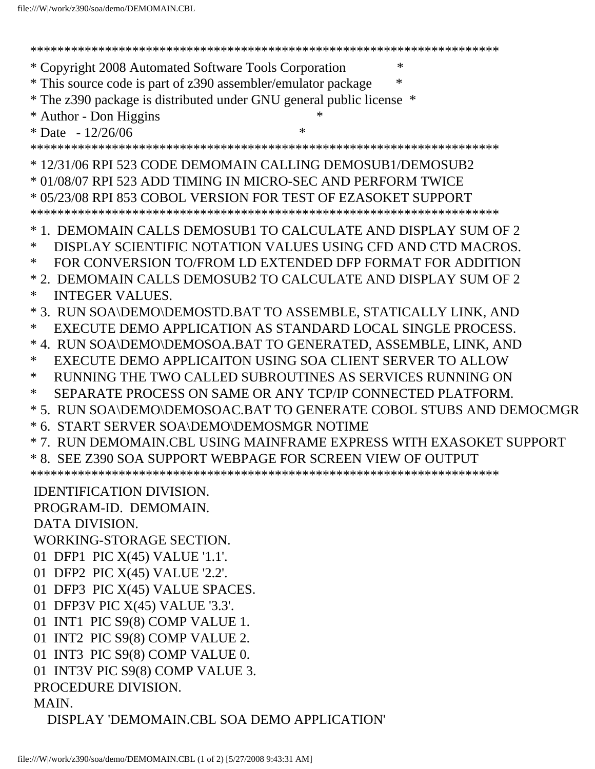| $\ast$<br>* Copyright 2008 Automated Software Tools Corporation      |
|----------------------------------------------------------------------|
| * This source code is part of z390 assembler/emulator package        |
| * The z390 package is distributed under GNU general public license * |
| * Author - Don Higgins                                               |
| * Date $-12/26/06$<br>$\ast$                                         |
|                                                                      |
| *12/31/06 RPI 523 CODE DEMOMAIN CALLING DEMOSUB1/DEMOSUB2            |
| * 01/08/07 RPI 523 ADD TIMING IN MICRO-SEC AND PERFORM TWICE         |
| * 05/23/08 RPI 853 COBOL VERSION FOR TEST OF EZASOKET SUPPORT        |
|                                                                      |
| * 1. DEMOMAIN CALLS DEMOSUB1 TO CALCULATE AND DISPLAY SUM OF 2       |
| DISPLAY SCIENTIFIC NOTATION VALUES USING CFD AND CTD MACROS.<br>∗    |
| FOR CONVERSION TO/FROM LD EXTENDED DFP FORMAT FOR ADDITION<br>∗      |
| * 2. DEMOMAIN CALLS DEMOSUB2 TO CALCULATE AND DISPLAY SUM OF 2       |
| $\ast$<br><b>INTEGER VALUES.</b>                                     |
| * 3. RUN SOA\DEMO\DEMOSTD.BAT TO ASSEMBLE, STATICALLY LINK, AND      |
| EXECUTE DEMO APPLICATION AS STANDARD LOCAL SINGLE PROCESS.<br>∗      |
| * 4. RUN SOA\DEMO\DEMOSOA.BAT TO GENERATED, ASSEMBLE, LINK, AND      |
| EXECUTE DEMO APPLICAITON USING SOA CLIENT SERVER TO ALLOW<br>∗       |
| ∗<br>RUNNING THE TWO CALLED SUBROUTINES AS SERVICES RUNNING ON       |
| SEPARATE PROCESS ON SAME OR ANY TCP/IP CONNECTED PLATFORM.<br>∗      |
| * 5. RUN SOA\DEMO\DEMOSOAC.BAT TO GENERATE COBOL STUBS AND DEMOCMGR  |
| * 6. START SERVER SOA\DEMO\DEMOSMGR NOTIME                           |
| * 7. RUN DEMOMAIN.CBL USING MAINFRAME EXPRESS WITH EXASOKET SUPPORT  |
| * 8. SEE Z390 SOA SUPPORT WEBPAGE FOR SCREEN VIEW OF OUTPUT          |
|                                                                      |
| <b>IDENTIFICATION DIVISION.</b>                                      |
| PROGRAM-ID. DEMOMAIN.                                                |
| <b>DATA DIVISION.</b>                                                |
| WORKING-STORAGE SECTION.                                             |
| 01 DFP1 PIC X(45) VALUE '1.1'.                                       |
| 01 DFP2 PIC X(45) VALUE '2.2'.                                       |
| 01 DFP3 PIC X(45) VALUE SPACES.                                      |
| 01 DFP3V PIC X(45) VALUE '3.3'.                                      |
| 01 INT1 PIC S9(8) COMP VALUE 1.                                      |
| 01 INT2 PIC S9(8) COMP VALUE 2.                                      |
| 01 INT3 PIC S9(8) COMP VALUE 0.                                      |
| 01 INT3V PIC S9(8) COMP VALUE 3.                                     |
| PROCEDURE DIVISION.                                                  |
| MAIN.                                                                |
| DISPLAY 'DEMOMAIN.CBL SOA DEMO APPLICATION'                          |